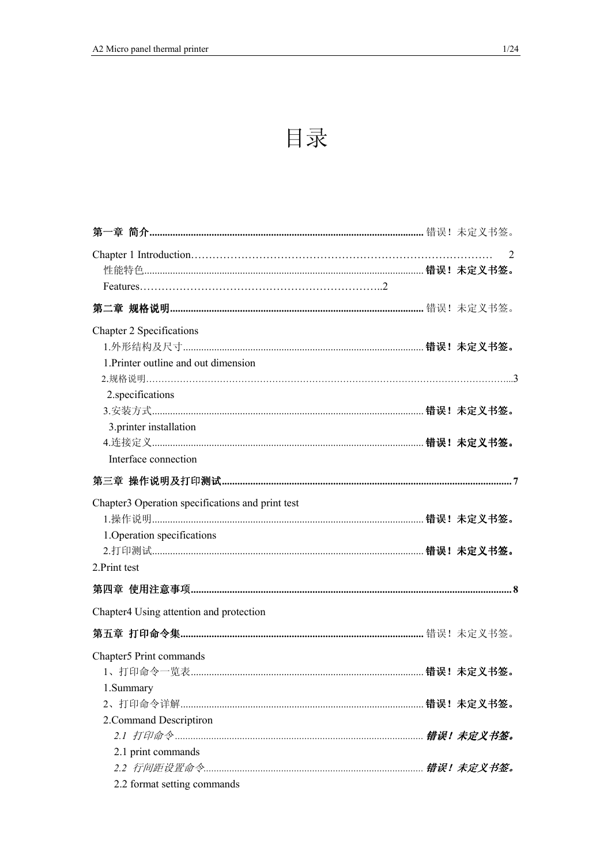# 目录

|                                                  | 2 |
|--------------------------------------------------|---|
|                                                  |   |
|                                                  |   |
|                                                  |   |
| Chapter 2 Specifications                         |   |
|                                                  |   |
| 1. Printer outline and out dimension             |   |
|                                                  |   |
| 2. specifications                                |   |
|                                                  |   |
| 3.printer installation                           |   |
|                                                  |   |
| Interface connection                             |   |
|                                                  |   |
| Chapter3 Operation specifications and print test |   |
|                                                  |   |
| 1. Operation specifications                      |   |
|                                                  |   |
| 2. Print test                                    |   |
|                                                  |   |
| Chapter4 Using attention and protection          |   |
|                                                  |   |
| Chapter5 Print commands                          |   |
|                                                  |   |
| 1.Summary                                        |   |
|                                                  |   |
| 2. Command Descriptiron                          |   |
|                                                  |   |
| 2.1 print commands                               |   |
|                                                  |   |
| 2.2 format setting commands                      |   |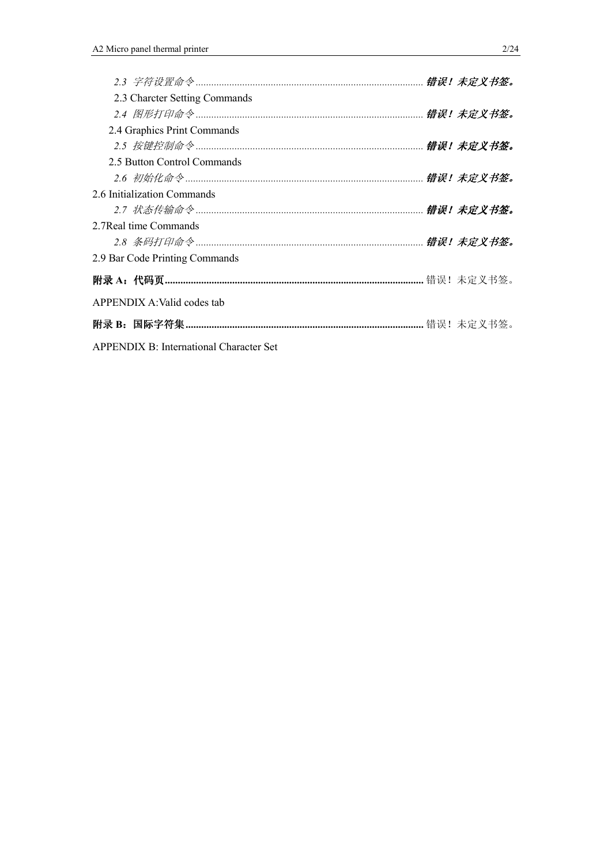| 2.3 Charcter Setting Commands                  |  |
|------------------------------------------------|--|
|                                                |  |
| 2.4 Graphics Print Commands                    |  |
|                                                |  |
| 2.5 Button Control Commands                    |  |
|                                                |  |
| 2.6 Initialization Commands                    |  |
|                                                |  |
| 2.7 Real time Commands                         |  |
|                                                |  |
| 2.9 Bar Code Printing Commands                 |  |
|                                                |  |
| APPENDIX A: Valid codes tab                    |  |
|                                                |  |
| <b>APPENDIX B: International Character Set</b> |  |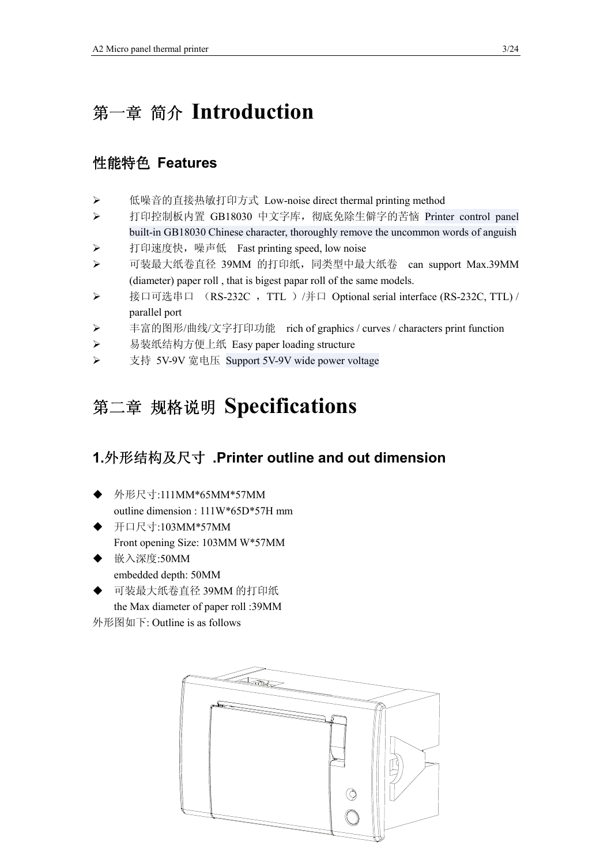# 第一章 简介 **Introduction**

#### 性能特色 **Features**

- > 低噪音的直接热敏打印方式 Low-noise direct thermal printing method
- ▶ 打印控制板内置 GB18030 中文字库, 彻底免除生僻字的苦恼 Printer control panel built-in GB18030 Chinese character, thoroughly remove the uncommon words of anguish
- ▶ 打印速度快,噪声低 Fast printing speed, low noise
- > 可装最大纸卷直径 39MM 的打印纸,同类型中最大纸卷 can support Max.39MM (diameter) paper roll , that is bigest papar roll of the same models.
- ▶ 接口可选串口 (RS-232C, TTL) / 并口 Optional serial interface (RS-232C, TTL) / parallel port
- ▶ 丰富的图形/曲线/文字打印功能 rich of graphics / curves / characters print function
- ▶ 易装纸结构方便上纸 Easy paper loading structure
- 支持 5V-9V 宽电压 Support 5V-9V wide power voltage

# 第二章 规格说明 **Specifications**

#### **1.**外形结构及尺寸 **.Printer outline and out dimension**

- ◆ 外形尺寸:111MM\*65MM\*57MM outline dimension : 111W\*65D\*57H mm
- ◆ 开口尺寸:103MM\*57MM Front opening Size: 103MM W\*57MM
- ◆ 嵌入深度:50MM embedded depth: 50MM
- ◆ 可装最大纸卷直径 39MM 的打印纸 the Max diameter of paper roll :39MM

外形图如下: Outline is as follows

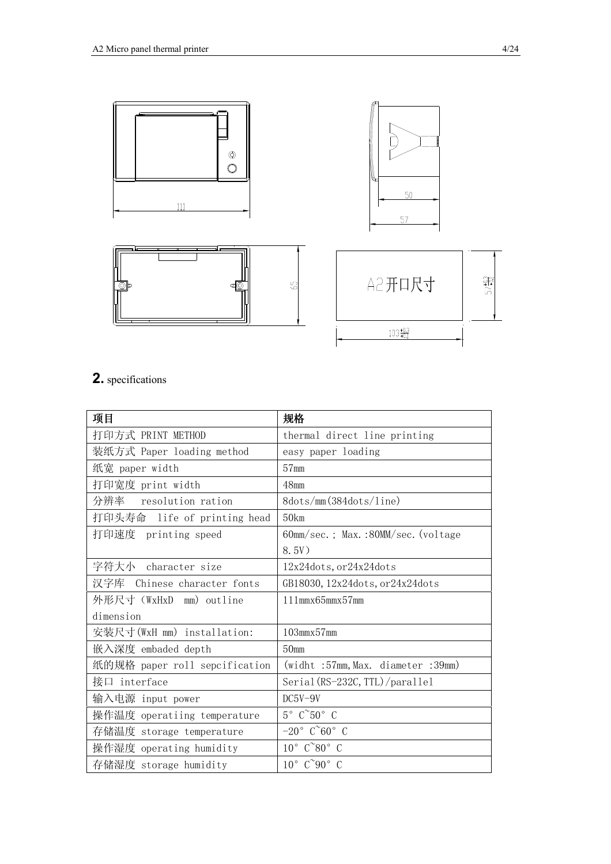





| A2开口尺寸                  | $57\frac{40}{10}$ |
|-------------------------|-------------------|
| $103 \frac{+0.3}{+0.1}$ |                   |

#### **2.** specifications

| 项目                            | 规格                                    |  |  |  |
|-------------------------------|---------------------------------------|--|--|--|
| 打印方式 PRINT METHOD             | thermal direct line printing          |  |  |  |
| 装纸方式 Paper loading method     | easy paper loading                    |  |  |  |
| 纸宽 paper width                | 57 <sub>mm</sub>                      |  |  |  |
| 打印宽度 print width              | 48 <sub>mm</sub>                      |  |  |  |
| 分辨率<br>resolution ration      | 8dots/mm(384dots/line)                |  |  |  |
| 打印头寿命 life of printing head   | 50km                                  |  |  |  |
| 打印速度 printing speed           | 60mm/sec.; Max.:80MM/sec. (voltage)   |  |  |  |
|                               | 8.5V)                                 |  |  |  |
| 字符大小 character size           | 12x24dots, or24x24dots                |  |  |  |
| 汉字库 Chinese character fonts   | GB18030, 12x24dots, or24x24dots       |  |  |  |
| 外形尺寸 (WxHxD mm) outline       | $111$ mm $x65$ mm $x57$ mm            |  |  |  |
| dimension                     |                                       |  |  |  |
| 安装尺寸(WxH mm) installation:    | 103mmx57mm                            |  |  |  |
| 嵌入深度 embaded depth            | 50 <sub>mm</sub>                      |  |  |  |
| 纸的规格 paper roll sepcification | (widht :57mm, Max. diameter :39mm)    |  |  |  |
| 接口 interface                  | Serial (RS-232C, TTL)/parallel        |  |  |  |
| 输入电源 input power              | $DC5V-9V$                             |  |  |  |
| 操作温度 operatiing temperature   | $5^{\circ}$ $C^{\sim}50^{\circ}$ C    |  |  |  |
| 存储温度 storage temperature      | $-20^\circ$ C $\degree$ 60 $^\circ$ C |  |  |  |
| 操作湿度 operating humidity       | $10^{\circ}$ $C^{\infty}80^{\circ}$ C |  |  |  |
| 存储湿度 storage humidity         | $10^{\circ}$ $C^{\sim}90^{\circ}$ C   |  |  |  |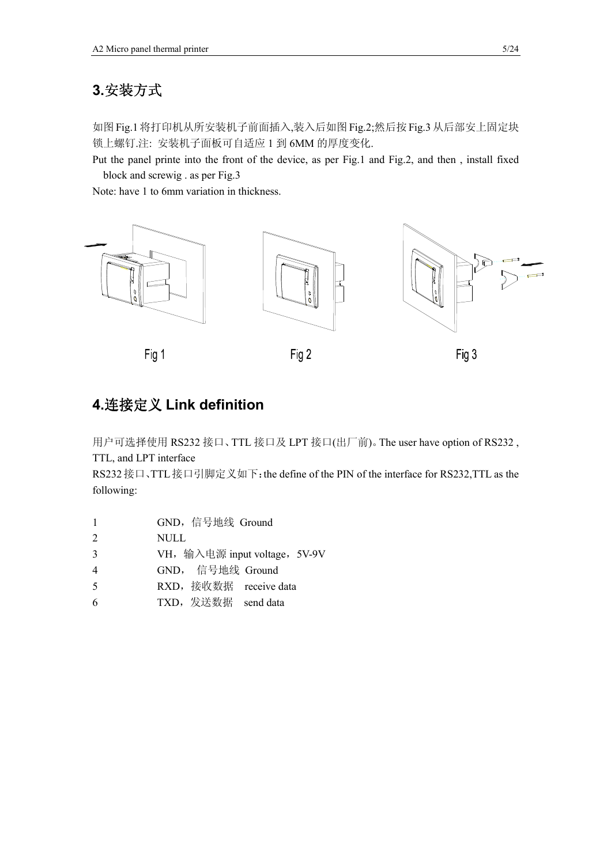### **3.**安装方式

如图Fig.1将打印机从所安装机子前面插入,装入后如图Fig.2;然后按Fig.3从后部安上固定块 锁上螺钉.注: 安装机子面板可自适应 1 到 6MM 的厚度变化.

Put the panel printe into the front of the device, as per Fig.1 and Fig.2, and then , install fixed block and screwig . as per Fig.3

Note: have 1 to 6mm variation in thickness.



#### **4.**连接定义 **Link definition**

用户可选择使用 RS232 接口、TTL 接口及 LPT 接口(出厂前)。The user have option of RS232 , TTL, and LPT interface

RS232接口、TTL接口引脚定义如下:the define of the PIN of the interface for RS232,TTL as the following:

- 1 GND,信号地线 Ground
- 2 NULL
- 3 VH, 输入电源 input voltage, 5V-9V
- 4 GND, 信号地线 Ground
- 5 RXD,接收数据 receive data
- 6 TXD,发送数据 send data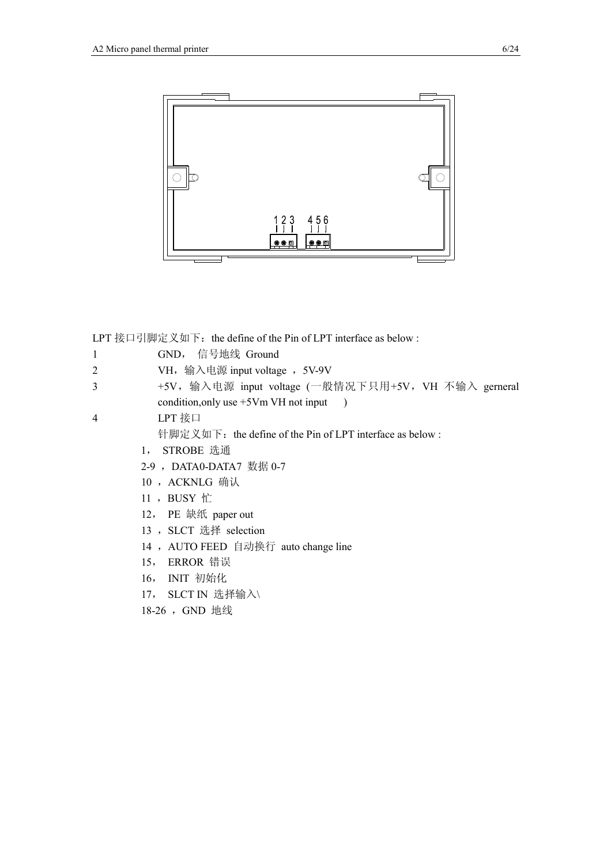

LPT 接口引脚定义如下: the define of the Pin of LPT interface as below :

- 1 GND, 信号地线 Ground
- 2 VH, 输入电源 input voltage , 5V-9V
- 3 +5V, 输入电源 input voltage (一般情况下只用+5V, VH 不输入 gerneral condition, only use +5Vm VH not input )
- 4 LPT 接口

针脚定义如下: the define of the Pin of LPT interface as below :

- 1, STROBE 选通
- 2-9, DATA0-DATA7 数据 0-7
- 10 ,ACKNLG 确认
- 11 ,BUSY 忙
- 12, PE 缺纸 paper out
- 13, SLCT 选择 selection
- 14, AUTO FEED 自动换行 auto change line
- 15, ERROR 错误
- 16, INIT 初始化
- 17, SLCT IN 选择输入\
- 18-26, GND 地线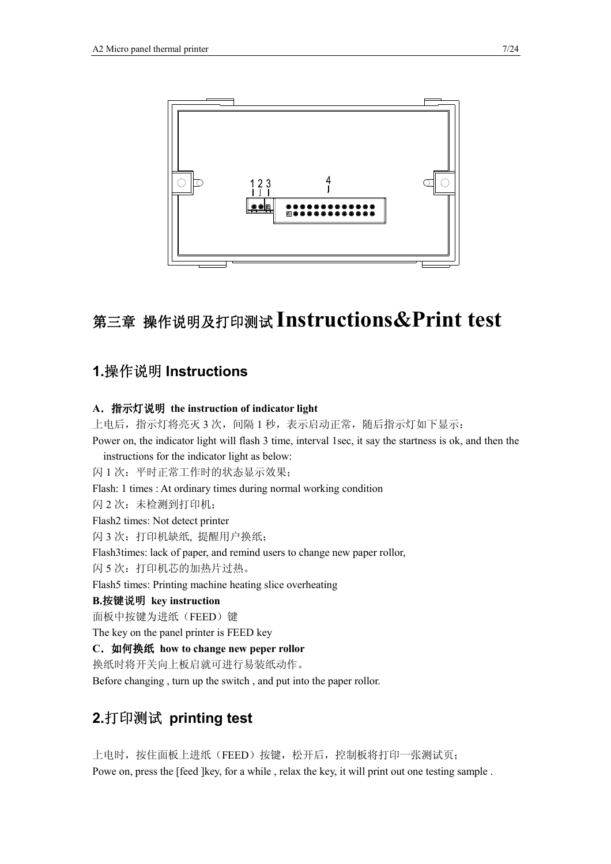

# 第三章 操作说明及打印测试 **Instructions&Print test**

#### **1.**操作说明 **Instructions**

#### **A**.指示灯说明 **the instruction of indicator light**

上电后, 指示灯将亮灭 3 次, 间隔 1 秒, 表示启动正常, 随后指示灯如下显示: Power on, the indicator light will flash 3 time, interval 1sec, it say the startness is ok, and then the instructions for the indicator light as below: 闪 1 次:平时正常工作时的状态显示效果; Flash: 1 times : At ordinary times during normal working condition 闪 2 次:未检测到打印机; Flash2 times: Not detect printer 闪 3 次:打印机缺纸, 提醒用户换纸; Flash3times: lack of paper, and remind users to change new paper rollor, 闪 5 次: 打印机芯的加热片过热。 Flash5 times: Printing machine heating slice overheating **B.**按键说明 **key instruction**  面板中按键为进纸(FEED)键 The key on the panel printer is FEED key **C**.如何换纸 **how to change new peper rollor**  换纸时将开关向上板启就可进行易装纸动作。

Before changing , turn up the switch , and put into the paper rollor.

#### **2.**打印测试 **printing test**

上电时, 按住面板上进纸(FEED)按键, 松开后, 控制板将打印一张测试页; Powe on, press the [feed ]key, for a while , relax the key, it will print out one testing sample .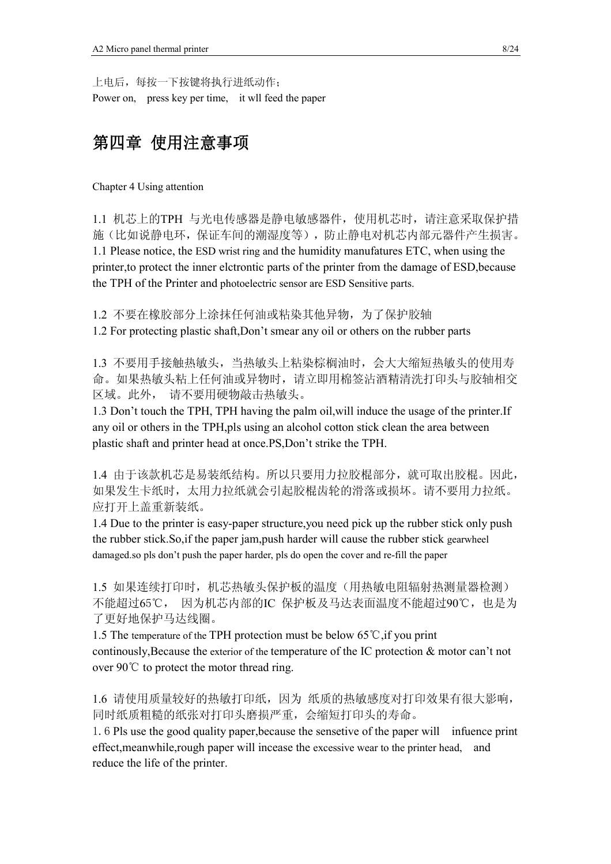上电后,每按一下按键将执行进纸动作; Power on, press key per time, it wll feed the paper

### 第四章 使用注意事项

Chapter 4 Using attention

1.1 机芯上的TPH 与光电传感器是静电敏感器件,使用机芯时,请注意采取保护措 施(比如说静电环,保证车间的潮湿度等),防止静电对机芯内部元器件产生损害。 1.1 Please notice, the ESD wrist ring and the humidity manufatures ETC, when using the printer,to protect the inner elctrontic parts of the printer from the damage of ESD,because the TPH of the Printer and photoelectric sensor are ESD Sensitive parts.

1.2 不要在橡胶部分上涂抹任何油或粘染其他异物,为了保护胶轴

1.2 For protecting plastic shaft,Don't smear any oil or others on the rubber parts

1.3 不要用手接触热敏头,当热敏头上粘染棕榈油时,会大大缩短热敏头的使用寿 命。如果热敏头粘上任何油或异物时,请立即用棉签沾酒精清洗打印头与胶轴相交 区域。此外, 请不要用硬物敲击热敏头。

1.3 Don't touch the TPH, TPH having the palm oil,will induce the usage of the printer.If any oil or others in the TPH,pls using an alcohol cotton stick clean the area between plastic shaft and printer head at once.PS,Don't strike the TPH.

1.4 由于该款机芯是易装纸结构。所以只要用力拉胶棍部分,就可取出胶棍。因此, 如果发生卡纸时,太用力拉纸就会引起胶棍齿轮的滑落或损坏。请不要用力拉纸。 应打开上盖重新装纸。

1.4 Due to the printer is easy-paper structure,you need pick up the rubber stick only push the rubber stick.So,if the paper jam,push harder will cause the rubber stick gearwheel damaged.so pls don't push the paper harder, pls do open the cover and re-fill the paper

1.5 如果连续打印时,机芯热敏头保护板的温度(用热敏电阻辐射热测量器检测) 不能超过65℃, 因为机芯内部的IC 保护板及马达表面温度不能超过90℃,也是为 了更好地保护马达线圈。

1.5 The temperature of the TPH protection must be below 65 °C, if you print continously,Because the exterior of the temperature of the IC protection & motor can't not over  $90^{\circ}$  to protect the motor thread ring.

1.6 请使用质量较好的热敏打印纸,因为 纸质的热敏感度对打印效果有很大影响, 同时纸质粗糙的纸张对打印头磨损严重,会缩短打印头的寿命。

1.6 Pls use the good quality paper,because the sensetive of the paper will infuence print effect,meanwhile,rough paper will incease the excessive wear to the printer head, and reduce the life of the printer.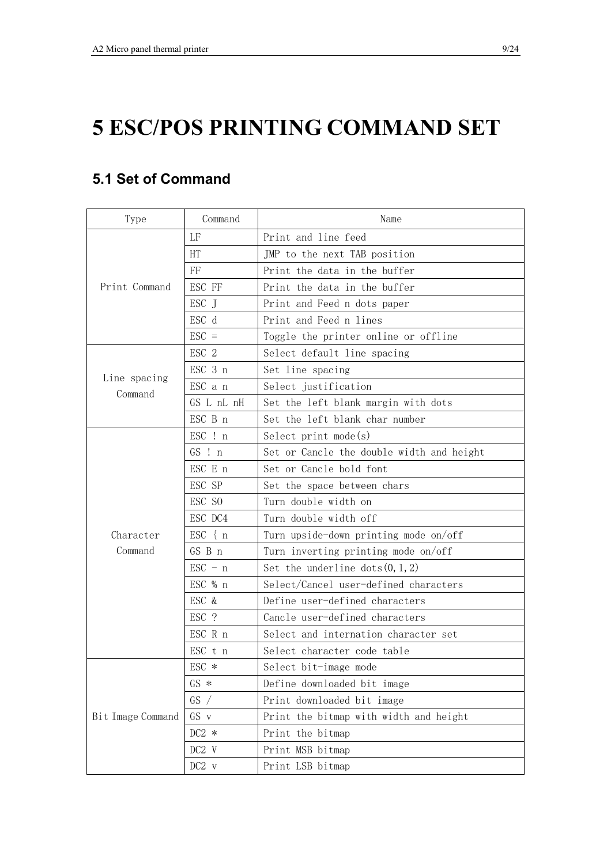# **5 ESC/POS PRINTING COMMAND SET**

## **5.1 Set of Command**

| Type              | Command           | Name                                      |  |  |  |
|-------------------|-------------------|-------------------------------------------|--|--|--|
|                   | LF                | Print and line feed                       |  |  |  |
|                   | HT                | JMP to the next TAB position              |  |  |  |
|                   | FF                | Print the data in the buffer              |  |  |  |
| Print Command     | ESC FF            | Print the data in the buffer              |  |  |  |
|                   | ESC J             | Print and Feed n dots paper               |  |  |  |
|                   | ESC d             | Print and Feed n lines                    |  |  |  |
|                   | $\text{ESC}$ =    | Toggle the printer online or offline      |  |  |  |
|                   | ESC 2             | Select default line spacing               |  |  |  |
|                   | ESC 3 n           | Set line spacing                          |  |  |  |
| Line spacing      | ESC a n           | Select justification                      |  |  |  |
| Command           | GS L nL nH        | Set the left blank margin with dots       |  |  |  |
|                   | ESC B n           | Set the left blank char number            |  |  |  |
|                   | ESC ! n           | Select print $mode(s)$                    |  |  |  |
|                   | $GS$ ! $n$        | Set or Cancle the double width and height |  |  |  |
|                   | ESC E n           | Set or Cancle bold font                   |  |  |  |
|                   | ESC SP            | Set the space between chars               |  |  |  |
|                   | ESC SO            | Turn double width on                      |  |  |  |
|                   | ESC DC4           | Turn double width off                     |  |  |  |
| Character         | $\text{ESC} \{ n$ | Turn upside-down printing mode on/off     |  |  |  |
| Command           | GS B n            | Turn inverting printing mode on/off       |  |  |  |
|                   | $\text{ESC} - n$  | Set the underline $dots(0, 1, 2)$         |  |  |  |
|                   | ESC % n           | Select/Cancel user-defined characters     |  |  |  |
|                   | ESC &             | Define user-defined characters            |  |  |  |
|                   | ESC ?             | Cancle user-defined characters            |  |  |  |
|                   | ESC R n           | Select and internation character set      |  |  |  |
|                   | ESC t n           | Select character code table               |  |  |  |
|                   | ESC *             | Select bit-image mode                     |  |  |  |
|                   | $GS *$            | Define downloaded bit image               |  |  |  |
|                   | GS /              | Print downloaded bit image                |  |  |  |
| Bit Image Command | GS v              | Print the bitmap with width and height    |  |  |  |
|                   | $DC2 *$           | Print the bitmap                          |  |  |  |
|                   | DC2 V             | Print MSB bitmap                          |  |  |  |
|                   | DC2 v             | Print LSB bitmap                          |  |  |  |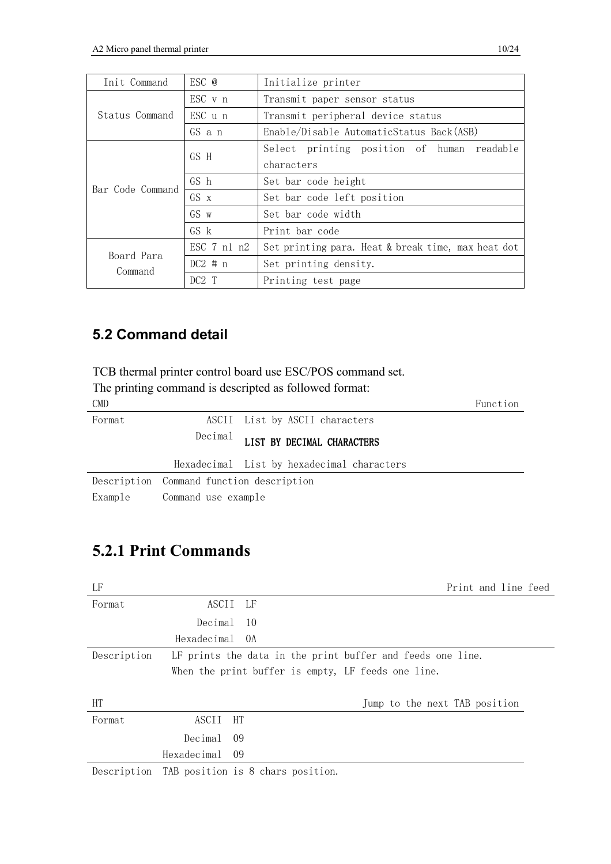| Init Command     | ESC @            | Initialize printer                                 |  |  |  |  |  |
|------------------|------------------|----------------------------------------------------|--|--|--|--|--|
|                  | ESC v n          | Transmit paper sensor status                       |  |  |  |  |  |
| Status Command   | $\text{ESC}$ u n | Transmit peripheral device status                  |  |  |  |  |  |
|                  | GS a n           | Enable/Disable AutomaticStatus Back(ASB)           |  |  |  |  |  |
|                  | GS H             | Select printing position of human readable         |  |  |  |  |  |
| Bar Code Command |                  | characters                                         |  |  |  |  |  |
|                  | GS h             | Set bar code height                                |  |  |  |  |  |
|                  | GS x             | Set bar code left position                         |  |  |  |  |  |
|                  | $GS_{W}$         | Set bar code width                                 |  |  |  |  |  |
|                  | GS k             | Print bar code                                     |  |  |  |  |  |
| Board Para       | $ESC$ 7 n1 n2    | Set printing para. Heat & break time, max heat dot |  |  |  |  |  |
| Command          | $DC2 \# n$       | Set printing density.                              |  |  |  |  |  |
|                  | DC2T             | Printing test page                                 |  |  |  |  |  |

#### **5.2 Command detail**

TCB thermal printer control board use ESC/POS command set.

The printing command is descripted as followed format:

| <b>CMD</b> |                                          |                                            | Function |
|------------|------------------------------------------|--------------------------------------------|----------|
| Format     |                                          | ASCII List by ASCII characters             |          |
|            |                                          | Decimal LIST BY DECIMAL CHARACTERS         |          |
|            |                                          | Hexadecimal List by hexadecimal characters |          |
|            | Description Command function description |                                            |          |
|            | Example Command use example              |                                            |          |

## **5.2.1 Print Commands**

| LF          |             | Print and line feed                                        |
|-------------|-------------|------------------------------------------------------------|
| Format      | ASCII       | - LF                                                       |
|             | Decimal     | -10                                                        |
|             | Hexadecimal | - OA                                                       |
| Description |             | LF prints the data in the print buffer and feeds one line. |
|             |             | When the print buffer is empty, LF feeds one line.         |
|             |             |                                                            |
| <b>HT</b>   |             | Jump to the next TAB position                              |
| Format      | ASCII       | HT                                                         |
|             | Decimal     | 09                                                         |
|             | Hexadecimal | - 09                                                       |
| Description |             | TAB position is 8 chars position.                          |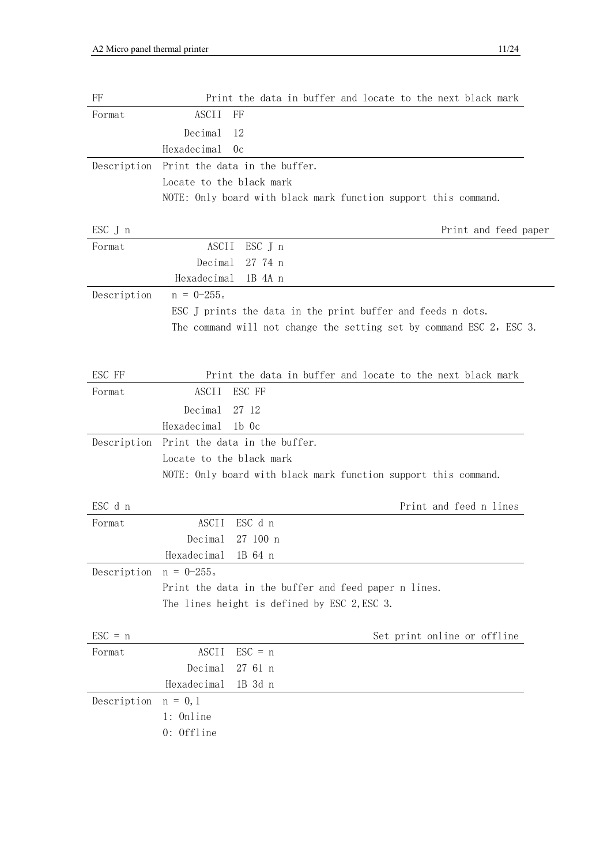| FF               | Print the data in buffer and locate to the next black mark           |
|------------------|----------------------------------------------------------------------|
| Format           | ASCII<br>FF                                                          |
|                  | Decimal<br>12                                                        |
|                  | Hexadecimal<br>0c                                                    |
| Description      | Print the data in the buffer.                                        |
|                  | Locate to the black mark                                             |
|                  | NOTE: Only board with black mark function support this command.      |
|                  |                                                                      |
| ESC J n          | Print and feed paper                                                 |
| Format           | ASCII<br>$\mathsf{ESC}$ J n                                          |
|                  | Decimal<br>27 74 n                                                   |
|                  | Hexadecimal<br>1B 4A n                                               |
| Description      | $n = 0 - 255$ .                                                      |
|                  | ESC J prints the data in the print buffer and feeds n dots.          |
|                  | The command will not change the setting set by command ESC 2, ESC 3. |
|                  |                                                                      |
| ESC FF           | Print the data in buffer and locate to the next black mark           |
| Format           | <b>ASCII</b><br>ESC FF                                               |
|                  | Decimal<br>27 12                                                     |
|                  | Hexadecimal<br>$1b$ 0c                                               |
| Description      | Print the data in the buffer.                                        |
|                  | Locate to the black mark                                             |
|                  | NOTE: Only board with black mark function support this command.      |
|                  |                                                                      |
| ESC d n          | Print and feed n lines                                               |
| Format           | ESC d n<br><b>ASCII</b>                                              |
|                  | Decimal<br>27 100 n                                                  |
|                  | Hexadecimal<br>1B 64 n                                               |
| Description      | $n = 0 - 255$ .                                                      |
|                  | Print the data in the buffer and feed paper n lines.                 |
|                  | The lines height is defined by ESC 2, ESC 3.                         |
|                  |                                                                      |
| $\text{ESC} = n$ | Set print online or offline                                          |
| Format           | <b>ASCII</b><br>$\text{ESC} = n$                                     |
|                  | Decimal<br>27 61 n                                                   |
|                  | Hexadecimal<br>1B 3d n                                               |
| Description      | $n = 0, 1$                                                           |
|                  | 1: Online                                                            |
|                  | 0: Offline                                                           |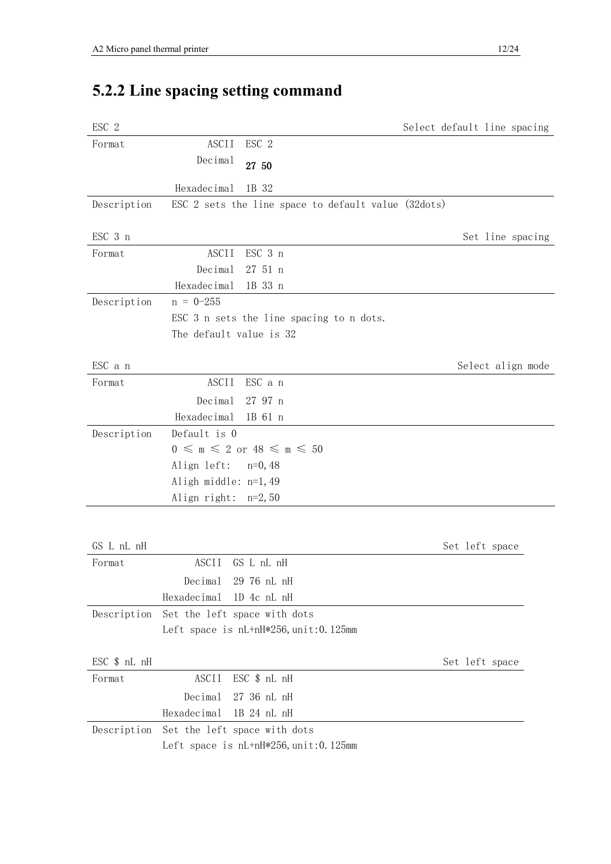# **5.2.2 Line spacing setting command**

| ESC 2        |                                                              |  |                | Select default line spacing |
|--------------|--------------------------------------------------------------|--|----------------|-----------------------------|
| Format       | ESC 2<br>ASCII                                               |  |                |                             |
|              | Decimal<br>27 50                                             |  |                |                             |
|              | 1B 32<br>Hexadecimal                                         |  |                |                             |
| Description  | ESC 2 sets the line space to default value (32dots)          |  |                |                             |
| ESC 3 n      |                                                              |  |                | Set line spacing            |
| Format       | ESC 3 n<br><b>ASCII</b>                                      |  |                |                             |
|              | Decimal<br>27 51 n                                           |  |                |                             |
|              | Hexadecimal<br>1B 33 n                                       |  |                |                             |
| Description  | $n = 0 - 255$                                                |  |                |                             |
|              | ESC 3 n sets the line spacing to n dots.                     |  |                |                             |
|              | The default value is 32                                      |  |                |                             |
| ESC a n      |                                                              |  |                | Select align mode           |
| Format       | <b>ASCII</b><br>ESC a n                                      |  |                |                             |
|              | Decimal<br>27 97 n                                           |  |                |                             |
|              | Hexadecimal<br>1B 61 n                                       |  |                |                             |
| Description  | Default is 0                                                 |  |                |                             |
|              | $0 \leqslant m \leqslant 2$ or $48 \leqslant m \leqslant 50$ |  |                |                             |
|              | Align left:<br>$n=0, 48$                                     |  |                |                             |
|              | Aligh middle: n=1,49                                         |  |                |                             |
|              | Align right: $n=2, 50$                                       |  |                |                             |
|              |                                                              |  |                |                             |
| GS L nL nH   |                                                              |  | Set left space |                             |
| Format       | ASCII<br>GS L nL nH                                          |  |                |                             |
|              | Decimal<br>29 76 nL nH                                       |  |                |                             |
|              | Hexadecimal<br>1D 4c nL nH                                   |  |                |                             |
| Description  | Set the left space with dots                                 |  |                |                             |
|              | Left space is $nL+nH*256$ , $unit:0.125$ mm                  |  |                |                             |
| ESC \$ nL nH |                                                              |  | Set left space |                             |
| Format       | ESC \$ nL nH<br>ASCII                                        |  |                |                             |
|              | Decimal<br>27 36 nL nH                                       |  |                |                             |
|              | Hexadecimal<br>1B 24 nL nH                                   |  |                |                             |
| Description  | Set the left space with dots                                 |  |                |                             |
|              | Left space is $nL+nH*256$ , $unit:0.125$ mm                  |  |                |                             |
|              |                                                              |  |                |                             |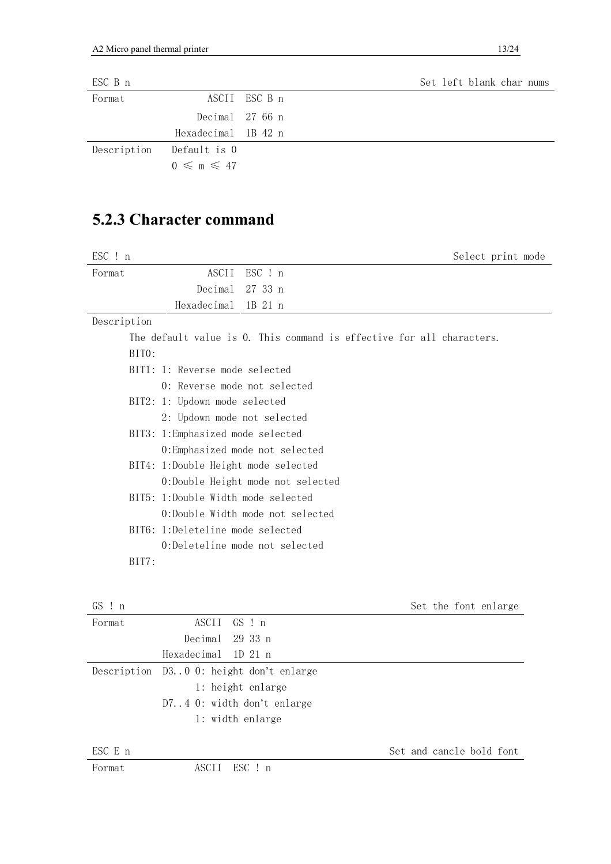| ESC B n     |                              |               |  |  | Set left blank char nums |  |
|-------------|------------------------------|---------------|--|--|--------------------------|--|
| Format      |                              | ASCII ESC B n |  |  |                          |  |
|             | Decimal 27 66 n              |               |  |  |                          |  |
|             | Hexadecimal 1B 42 n          |               |  |  |                          |  |
| Description | Default is 0                 |               |  |  |                          |  |
|             | $0 \leqslant m \leqslant 47$ |               |  |  |                          |  |

### **5.2.3 Character command**

| ESC ! n<br>Select print mode                                          |  |
|-----------------------------------------------------------------------|--|
| ASCII<br>ESC ! n<br>Format                                            |  |
| Decimal<br>27 33 n                                                    |  |
| Hexadecimal<br>1B 21 n                                                |  |
| Description                                                           |  |
| The default value is 0. This command is effective for all characters. |  |
| BITO:                                                                 |  |
| BIT1: 1: Reverse mode selected                                        |  |
| 0: Reverse mode not selected                                          |  |
| BIT2: 1: Updown mode selected                                         |  |
| 2: Updown mode not selected                                           |  |
| BIT3: 1:Emphasized mode selected                                      |  |
| 0:Emphasized mode not selected                                        |  |
| BIT4: 1:Double Height mode selected                                   |  |
| 0:Double Height mode not selected                                     |  |
| BIT5: 1:Double Width mode selected                                    |  |
| 0:Double Width mode not selected                                      |  |
| BIT6: 1:Deleteline mode selected                                      |  |
| 0:Deleteline mode not selected                                        |  |
| BIT7:                                                                 |  |
|                                                                       |  |
|                                                                       |  |

| GS: n  |                                         | Set the font enlarge |
|--------|-----------------------------------------|----------------------|
| Format | ASCII GS ! n                            |                      |
|        | Decimal 29 33 n                         |                      |
|        | Hexadecimal 1D 21 n                     |                      |
|        | Description D30 0: height don't enlarge |                      |
|        | 1: height enlarge                       |                      |
|        | D74 0: width don't enlarge              |                      |
|        | 1: width enlarge                        |                      |
|        |                                         |                      |

 $\begin{array}{ccc} \text{ESC} \to & \text{Set} \to \text{Set} \end{array}$  and cancle bold font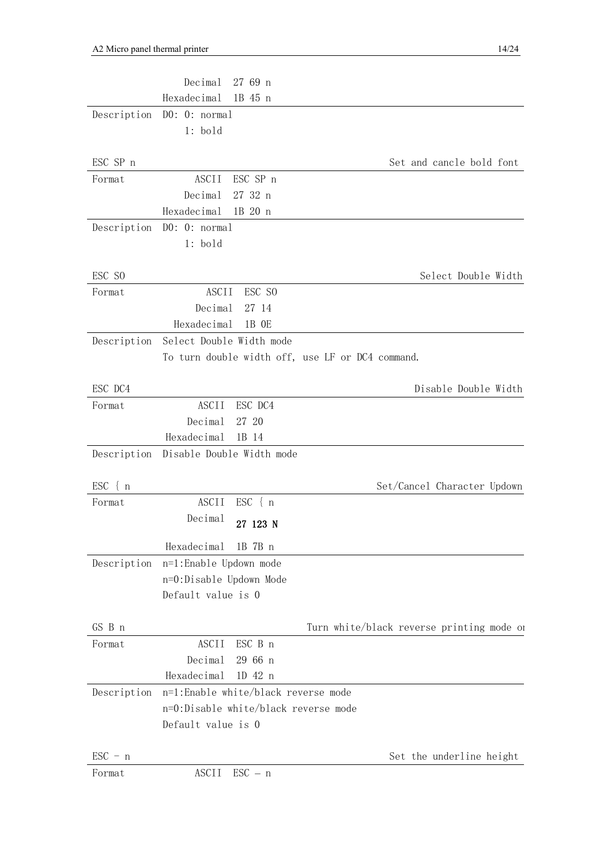|                            | Decimal                   | 27 69 n                              |                                                  |
|----------------------------|---------------------------|--------------------------------------|--------------------------------------------------|
|                            | Hexadecimal               | 1B 45 n                              |                                                  |
| Description                | D0: 0: normal             |                                      |                                                  |
|                            | $1:$ bold                 |                                      |                                                  |
|                            |                           |                                      |                                                  |
| ESC SP n                   |                           |                                      | Set and cancle bold font                         |
| Format                     | <b>ASCII</b>              | ESC SP n                             |                                                  |
|                            | Decimal                   | 27 32 n                              |                                                  |
|                            | Hexadecimal               | 1B 20 n                              |                                                  |
| Description                | D0: 0: normal             |                                      |                                                  |
|                            | $1:$ bold                 |                                      |                                                  |
| ESC SO                     |                           |                                      | Select Double Width                              |
| Format                     | <b>ASCII</b>              | ESC SO                               |                                                  |
|                            | Decimal                   | 27 14                                |                                                  |
|                            | Hexadecimal               | 1B OE                                |                                                  |
| Description                | Select Double Width mode  |                                      |                                                  |
|                            |                           |                                      | To turn double width off, use LF or DC4 command. |
|                            |                           |                                      |                                                  |
| ESC DC4                    |                           |                                      | Disable Double Width                             |
| Format                     | <b>ASCII</b>              | ESC DC4                              |                                                  |
|                            | Decimal                   | 27 20                                |                                                  |
|                            | Hexadecimal               | 1B 14                                |                                                  |
| Description                | Disable Double Width mode |                                      |                                                  |
| $ESC \{ n$                 |                           |                                      | Set/Cancel Character Updown                      |
| Format                     | <b>ASCII</b>              | $\text{ESC}$ { $\text{n}$            |                                                  |
|                            | Decimal                   | 27 123 N                             |                                                  |
|                            |                           |                                      |                                                  |
|                            | Hexadecimal               | 1B 7B n                              |                                                  |
| Description                |                           |                                      |                                                  |
|                            | n=1:Enable Updown mode    |                                      |                                                  |
|                            | n=0:Disable Updown Mode   |                                      |                                                  |
|                            | Default value is 0        |                                      |                                                  |
| GS B n                     |                           |                                      | Turn white/black reverse printing mode on        |
| Format                     | <b>ASCII</b>              | ESC B n                              |                                                  |
|                            | Decimal                   | 29 66 n                              |                                                  |
|                            | Hexadecimal               | 1D 42 n                              |                                                  |
| Description                |                           | n=1:Enable white/black reverse mode  |                                                  |
|                            |                           | n=0:Disable white/black reverse mode |                                                  |
|                            | Default value is 0        |                                      |                                                  |
|                            |                           |                                      |                                                  |
| $\text{ESC} - n$<br>Format | ASCII                     | $\text{ESC} - \text{n}$              | Set the underline height                         |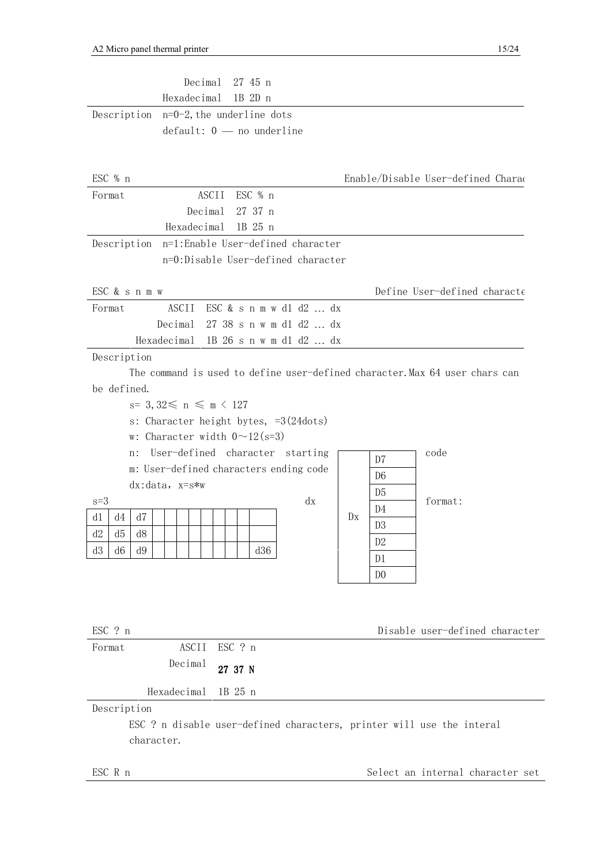| Decimal<br>27 45 n                                                          |                                    |
|-----------------------------------------------------------------------------|------------------------------------|
| Hexadecimal<br>1B 2D n                                                      |                                    |
| Description $n=0-2$ , the underline dots                                    |                                    |
| $default: 0$ — no underline                                                 |                                    |
|                                                                             |                                    |
| ESC % n                                                                     | Enable/Disable User-defined Charac |
| ESC % n<br>Format<br>ASCII                                                  |                                    |
| Decimal<br>27 37 n                                                          |                                    |
| Hexadecimal<br>1B 25 n                                                      |                                    |
| n=1:Enable User-defined character<br>Description                            |                                    |
| n=0:Disable User-defined character                                          |                                    |
| ESC & s n m w                                                               | Define User-defined characte       |
| ASCII<br>ESC & s n m w d1 d2 $\ldots$ dx<br>Format                          |                                    |
| Decimal<br>27 38 s n w m d1 d2  dx                                          |                                    |
| Hexadecimal 1B 26 s n w m d1 d2  dx                                         |                                    |
| Description                                                                 |                                    |
| The command is used to define user-defined character. Max 64 user chars can |                                    |
| be defined.                                                                 |                                    |
| $s=3,32\leq n \leq m \leq 127$                                              |                                    |
| s: Character height bytes, $=3(24dots)$                                     |                                    |
| w: Character width $0 \sim 12$ (s=3)                                        |                                    |
| User-defined character starting<br>n:                                       | code<br>D7                         |
| m: User-defined characters ending code                                      | D <sub>6</sub>                     |
| $dx: data, x=s*w$                                                           | D <sub>5</sub>                     |
| dx<br>$s=3$                                                                 | format:<br>D4                      |
| d1<br>d4<br>d7                                                              | D <sub>X</sub><br>D <sub>3</sub>   |
| d2<br>d5<br>d8                                                              | D <sub>2</sub>                     |
| d3<br>d9<br>d36<br>d6                                                       | D <sub>1</sub>                     |
|                                                                             | D <sub>0</sub>                     |
|                                                                             |                                    |
|                                                                             |                                    |
| ESC ? n                                                                     | Disable user-defined character     |
| ESC ? n<br>ASCII<br>Format                                                  |                                    |
| Decimal<br>27 37 N                                                          |                                    |
| Hexadecimal<br>1B 25 n                                                      |                                    |
| Description                                                                 |                                    |
| ESC ? n disable user-defined characters, printer will use the interal       |                                    |
| character.                                                                  |                                    |

ESC R n Select an internal character set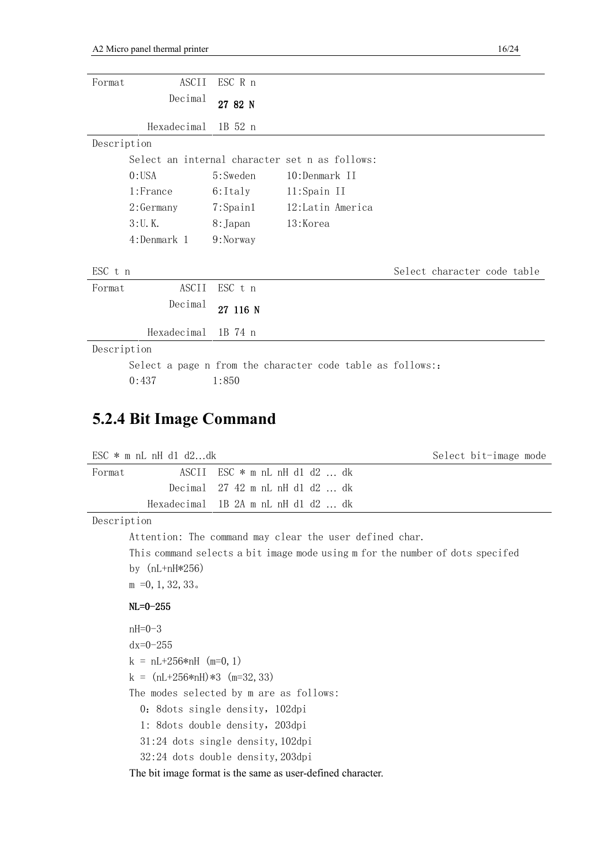| Format      | ASCII        | ESC R n        |                                                           |                             |
|-------------|--------------|----------------|-----------------------------------------------------------|-----------------------------|
|             | Decimal      | 27 82 N        |                                                           |                             |
|             | Hexadecimal  | 1B 52 n        |                                                           |                             |
| Description |              |                |                                                           |                             |
|             |              |                | Select an internal character set n as follows:            |                             |
|             | $0:$ USA     | 5:Sweden       | 10:Denmark II                                             |                             |
|             | 1:France     | 6:Italy        | 11:Spain II                                               |                             |
|             | $2:$ Germany | $7:$ Spain $1$ | 12:Latin America                                          |                             |
|             | $3:U.$ K.    | 8: Japan       | 13:Korea                                                  |                             |
|             | 4:Denmark 1  | 9:Norway       |                                                           |                             |
|             |              |                |                                                           |                             |
| ESC t n     |              |                |                                                           | Select character code table |
| Format      | ASCII        | ESC t n        |                                                           |                             |
|             | Decimal      | 27 116 N       |                                                           |                             |
|             | Hexadecimal  | 1B 74 n        |                                                           |                             |
| Description |              |                |                                                           |                             |
|             |              |                | Select a page n from the character code table as follows: |                             |
|             | 0:437        | 1:850          |                                                           |                             |

#### **5.2.4 Bit Image Command**

|        | ESC $*$ m nL nH d1 d2dk |                                     | Select bit-image mode |
|--------|-------------------------|-------------------------------------|-----------------------|
| Format |                         | ASCII ESC $*$ m nL nH d1 d2  dk     |                       |
|        |                         | Decimal $27\;42$ m nL nH d1 d2  dk  |                       |
|        |                         | Hexadecimal 1B 2A m nL nH d1 d2  dk |                       |
|        |                         |                                     |                       |

Description

Attention: The command may clear the user defined char. This command selects a bit image mode using m for the number of dots specifed by (nL+nH\*256) m =0,1,32,33。

#### NL=0-255

nH=0-3  $dx=0-255$  $k = nL+256*nH (m=0, 1)$  $k = (nL+256*nH)*3$  (m=32, 33) The modes selected by m are as follows: 0: 8dots single density, 102dpi 1: 8dots double density,203dpi 31:24 dots single density,102dpi 32:24 dots double density,203dpi

The bit image format is the same as user-defined character.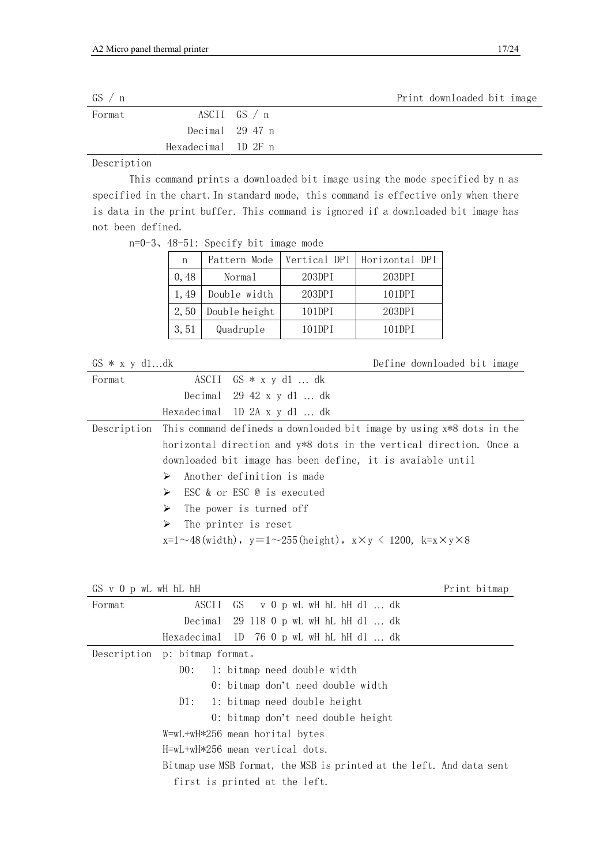| GS / n |                     |                 | Print downloaded bit image |
|--------|---------------------|-----------------|----------------------------|
| Format |                     | ASCII $GS / n$  |                            |
|        |                     | Decimal 29 47 n |                            |
|        | Hexadecimal 1D 2F n |                 |                            |

Description

 This command prints a downloaded bit image using the mode specified by n as specified in the chart.In standard mode, this command is effective only when there is data in the print buffer. This command is ignored if a downloaded bit image has not been defined.

n=0-3、48-51: Specify bit image mode

| n     | Pattern Mode  |        | Vertical DPI   Horizontal DPI |
|-------|---------------|--------|-------------------------------|
| 0, 48 | Normal        | 203DPI | 203DPI                        |
| 1, 49 | Double width  | 203DPI | 101DPI                        |
| 2,50  | Double height | 101DPI | 203DPI                        |
| 3,51  | Quadruple     | 101DPT | 101DPT                        |

GS \* x y d1...dk Define downloaded bit image

| ASCII $GS * x y d1  dk$                                                                         |  |  |  |  |
|-------------------------------------------------------------------------------------------------|--|--|--|--|
| Decimal $29\;42 \times y \;d1 \ldots dk$                                                        |  |  |  |  |
| Hexadecimal $1D$ 2A x y d1  dk                                                                  |  |  |  |  |
| Description This command defineds a downloaded bit image by using x*8 dots in the               |  |  |  |  |
| horizontal direction and y*8 dots in the vertical direction. Once a                             |  |  |  |  |
| downloaded bit image has been define, it is avaiable until                                      |  |  |  |  |
| $\triangleright$ Another definition is made                                                     |  |  |  |  |
| $\triangleright$ ESC & or ESC @ is executed                                                     |  |  |  |  |
| $\triangleright$ The power is turned off                                                        |  |  |  |  |
| $\triangleright$ The printer is reset                                                           |  |  |  |  |
| $x=1 \sim 48$ (width), $y=1 \sim 255$ (height), $x \times y \le 1200$ , $k=x \times y \times 8$ |  |  |  |  |
|                                                                                                 |  |  |  |  |

GS v 0 p wL wH hL hH  $\blacksquare$ 

| Format | ASCII GS v 0 p wL wH hL hH d1  dk                                    |  |  |  |
|--------|----------------------------------------------------------------------|--|--|--|
|        | Decimal 29 118 0 p wL wH hL hH d1 $\dots$ dk                         |  |  |  |
|        | Hexadecimal $1D$ 76 0 p wL wH hL hH d1  dk                           |  |  |  |
|        | Description p: bitmap format.                                        |  |  |  |
|        | 1: bitmap need double width<br>DO:                                   |  |  |  |
|        | 0: bitmap don't need double width                                    |  |  |  |
|        | $D1: 1: \text{bitmap need double height}$                            |  |  |  |
|        | 0: bitmap don't need double height                                   |  |  |  |
|        | W=wL+wH*256 mean horital bytes                                       |  |  |  |
|        | $H=wL+wH*256$ mean vertical dots.                                    |  |  |  |
|        | Bitmap use MSB format, the MSB is printed at the left. And data sent |  |  |  |
|        | first is printed at the left.                                        |  |  |  |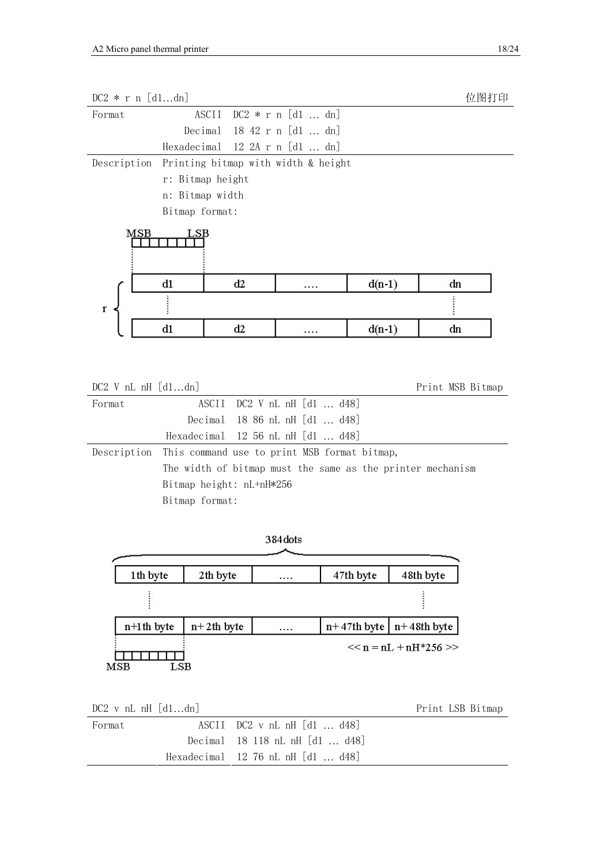| $DC2 * r n [d1dn]$                                                                                                                                                                                                                                                                                       |                 |                  |                                     |               |                         | 位图打印 |
|----------------------------------------------------------------------------------------------------------------------------------------------------------------------------------------------------------------------------------------------------------------------------------------------------------|-----------------|------------------|-------------------------------------|---------------|-------------------------|------|
| Format                                                                                                                                                                                                                                                                                                   |                 | ASCII            | DC2 * r n [d1  dn]                  |               |                         |      |
|                                                                                                                                                                                                                                                                                                          | Decimal         |                  | 18 42 r n [d1  dn]                  |               |                         |      |
|                                                                                                                                                                                                                                                                                                          |                 |                  | Hexadecimal 12 2A r n [d1  dn]      |               |                         |      |
| Description                                                                                                                                                                                                                                                                                              |                 |                  | Printing bitmap with width & height |               |                         |      |
|                                                                                                                                                                                                                                                                                                          |                 | r: Bitmap height |                                     |               |                         |      |
|                                                                                                                                                                                                                                                                                                          | n: Bitmap width |                  |                                     |               |                         |      |
|                                                                                                                                                                                                                                                                                                          | Bitmap format:  |                  |                                     |               |                         |      |
| $_{\rm{MSB}}$                                                                                                                                                                                                                                                                                            |                 |                  |                                     |               |                         |      |
|                                                                                                                                                                                                                                                                                                          | $_{\rm d1}$     | d2               | .                                   |               | $d(n-1)$                | dn   |
| r                                                                                                                                                                                                                                                                                                        |                 |                  |                                     |               |                         | i    |
|                                                                                                                                                                                                                                                                                                          | d1              | d2               |                                     |               | $d(n-1)$                | dn   |
| ASCII<br>$DC2$ V nL nH $[d1 \dots d48]$<br>Format<br>Decimal<br>18 86 nL nH [d1  d48]<br>Hexadecimal<br>12 56 nL nH [d1  d48]<br>Description<br>This command use to print MSB format bitmap,<br>The width of bitmap must the same as the printer mechanism<br>Bitmap height: nL+nH*256<br>Bitmap format: |                 |                  |                                     |               |                         |      |
|                                                                                                                                                                                                                                                                                                          |                 |                  | 384 dots                            |               |                         |      |
| 1th byte                                                                                                                                                                                                                                                                                                 |                 | 2th byte         |                                     | 47th byte     | 48th byte               |      |
| ł                                                                                                                                                                                                                                                                                                        |                 |                  |                                     |               |                         |      |
| $n+1$ th byte                                                                                                                                                                                                                                                                                            |                 | $n+2$ th byte    |                                     | $n+47th$ byte | $n+48$ th byte          |      |
| MSB                                                                                                                                                                                                                                                                                                      | LSB             |                  |                                     |               | $<<$ n = nL + nH*256 >> |      |

| $DC2$ v nL nH $[d1dn]$ |                                             | Print LSB Bitmap |
|------------------------|---------------------------------------------|------------------|
| Format                 | $\text{ASCII}$ DC2 v nL nH $[d1 \dots d48]$ |                  |
|                        | Decimal 18 118 nL nH $ d1 \dots d48 $       |                  |
|                        | Hexadecimal $12\,76$ nL nH $ d1 \dots d48 $ |                  |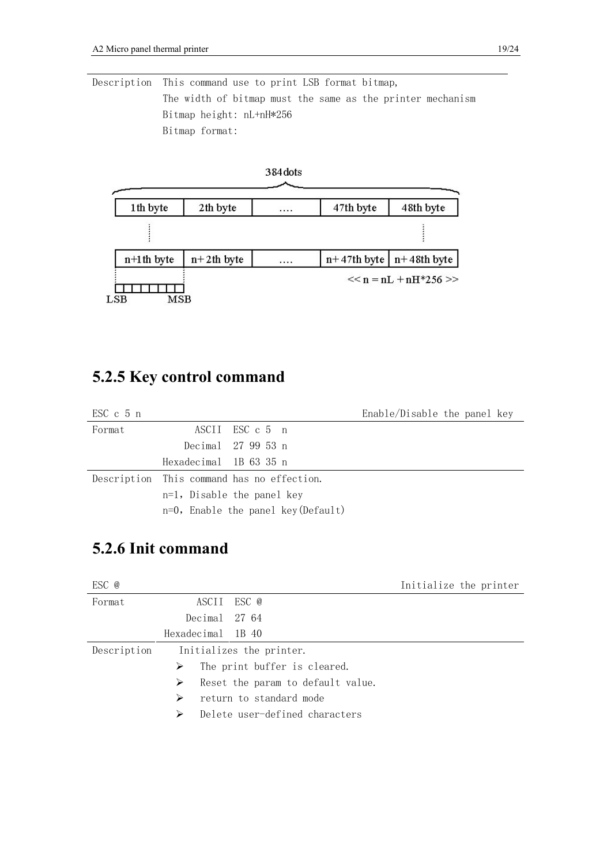Description This command use to print LSB format bitmap, The width of bitmap must the same as the printer mechanism Bitmap height: nL+nH\*256 Bitmap format:



#### **5.2.5 Key control command**

| $\text{ESC}$ c 5 n |                        |                                            | Enable/Disable the panel key |
|--------------------|------------------------|--------------------------------------------|------------------------------|
| Format             |                        | ASCII ESC c 5 n                            |                              |
|                    |                        | Decimal 27 99 53 n                         |                              |
|                    | Hexadecimal 1B 63 35 n |                                            |                              |
|                    |                        | Description This command has no effection. |                              |
|                    |                        | $n=1$ , Disable the panel key              |                              |
|                    |                        | $n=0$ , Enable the panel key (Default)     |                              |

### **5.2.6 Init command**

| ESC @       |                   |                                   | Initialize the printer |
|-------------|-------------------|-----------------------------------|------------------------|
| Format      |                   | ASCII ESC @                       |                        |
|             | Decimal 27 64     |                                   |                        |
|             | Hexadecimal 1B 40 |                                   |                        |
| Description |                   | Initializes the printer.          |                        |
|             | ≻                 | The print buffer is cleared.      |                        |
|             | ➤                 | Reset the param to default value. |                        |
|             | ⋗                 | return to standard mode           |                        |
|             | ⋗                 | Delete user-defined characters    |                        |
|             |                   |                                   |                        |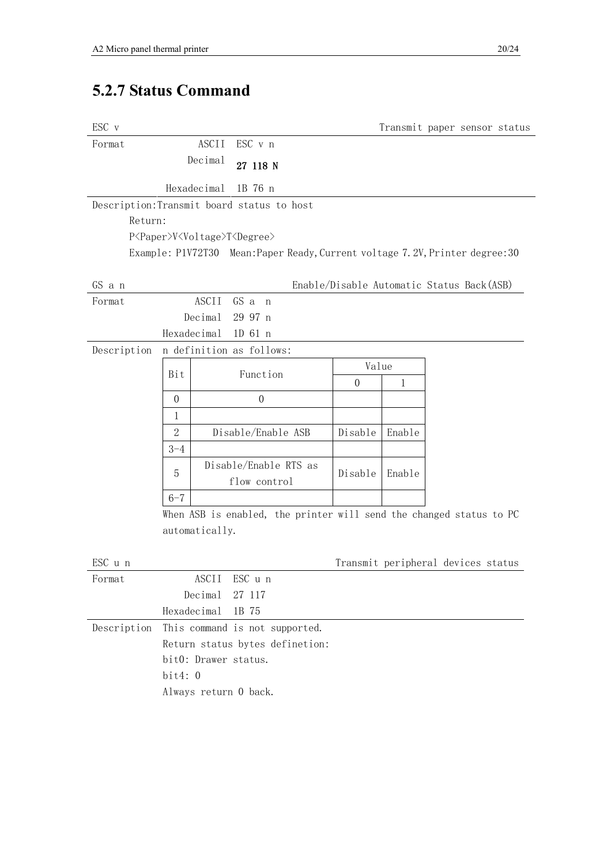## **5.2.7 Status Command**

| ESC v       |                                                         |                                                                               |                                           | Transmit paper sensor status |  |  |
|-------------|---------------------------------------------------------|-------------------------------------------------------------------------------|-------------------------------------------|------------------------------|--|--|
| Format      | ASCII                                                   | ESC v n                                                                       |                                           |                              |  |  |
|             | Decimal                                                 | 27 118 N                                                                      |                                           |                              |  |  |
|             | Hexadecimal                                             | 1B 76 n                                                                       |                                           |                              |  |  |
|             |                                                         | Description: Transmit board status to host                                    |                                           |                              |  |  |
| Return:     |                                                         |                                                                               |                                           |                              |  |  |
|             | P <paper>V<voltage>T<degree></degree></voltage></paper> |                                                                               |                                           |                              |  |  |
|             |                                                         | Example: P1V72T30 Mean: Paper Ready, Current voltage 7.2V, Printer degree: 30 |                                           |                              |  |  |
|             |                                                         |                                                                               |                                           |                              |  |  |
| GS a n      |                                                         |                                                                               | Enable/Disable Automatic Status Back(ASB) |                              |  |  |
| Format      | <b>ASCII</b>                                            | GS a n                                                                        |                                           |                              |  |  |
|             | Decimal                                                 | 29 97 n                                                                       |                                           |                              |  |  |
|             | Hexadecimal                                             | 1D 61 n                                                                       |                                           |                              |  |  |
| Description | n definition as follows:                                |                                                                               |                                           |                              |  |  |
|             | Bit                                                     | Function                                                                      | Value                                     |                              |  |  |
|             |                                                         |                                                                               | $\overline{0}$                            | $\mathbf{1}$                 |  |  |
|             | $\boldsymbol{0}$                                        | $\boldsymbol{0}$                                                              |                                           |                              |  |  |
|             | $\mathbf 1$                                             |                                                                               |                                           |                              |  |  |
|             | $\overline{2}$                                          | Disable/Enable ASB                                                            | Disable                                   | Enable                       |  |  |
|             | $3 - 4$                                                 |                                                                               |                                           |                              |  |  |
|             | 5                                                       | Disable/Enable RTS as                                                         | Disable                                   | Enable                       |  |  |
|             |                                                         | flow control                                                                  |                                           |                              |  |  |
|             | $6 - 7$                                                 |                                                                               |                                           |                              |  |  |
|             |                                                         | When ASB is enabled, the printer will send the changed status to PC           |                                           |                              |  |  |
|             | automatically.                                          |                                                                               |                                           |                              |  |  |
| ESC u n     |                                                         |                                                                               | Transmit peripheral devices status        |                              |  |  |
| Format      | ASCII                                                   | ESC u n                                                                       |                                           |                              |  |  |
|             | Decimal                                                 | 27 117                                                                        |                                           |                              |  |  |
|             | Hexadecimal                                             | 1B 75                                                                         |                                           |                              |  |  |
| Description |                                                         | This command is not supported.                                                |                                           |                              |  |  |
|             |                                                         | Return status bytes definetion:                                               |                                           |                              |  |  |
|             | bit0: Drawer status.                                    |                                                                               |                                           |                              |  |  |
|             | bit4:0                                                  |                                                                               |                                           |                              |  |  |

Always return 0 back.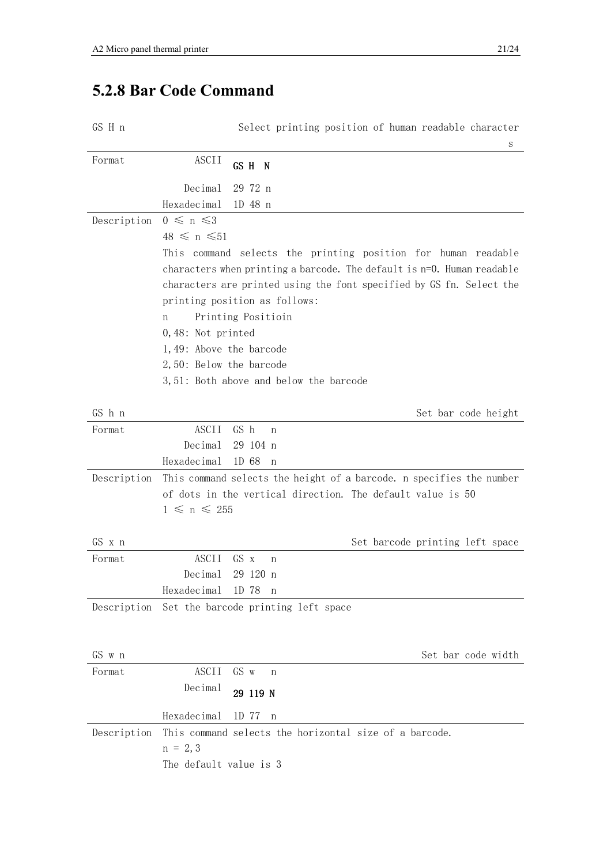# **5.2.8 Bar Code Command**

GS H n Select printing position of human readable character

|             | S                                                                                                                                       |
|-------------|-----------------------------------------------------------------------------------------------------------------------------------------|
| Format      | ASCII<br>GS H N                                                                                                                         |
|             | 29 72 n<br>Decimal                                                                                                                      |
|             | Hexadecimal<br>1D 48 n                                                                                                                  |
| Description | $0 \leq n \leq 3$                                                                                                                       |
|             | $48 \leq n \leq 51$                                                                                                                     |
|             | This command selects the printing position for human readable<br>characters when printing a barcode. The default is n=0. Human readable |
|             | characters are printed using the font specified by GS fn. Select the                                                                    |
|             | printing position as follows:                                                                                                           |
|             | Printing Positioin<br>n                                                                                                                 |
|             | $0,48$ : Not printed                                                                                                                    |
|             | 1,49: Above the barcode                                                                                                                 |
|             | 2,50: Below the barcode                                                                                                                 |
|             | 3,51: Both above and below the barcode                                                                                                  |
|             |                                                                                                                                         |
| GS h n      | Set bar code height                                                                                                                     |
| Format      | ASCII<br>GS h<br>n                                                                                                                      |
|             | Decimal<br>29 104 n                                                                                                                     |
|             | Hexadecimal<br>1D 68<br>n                                                                                                               |
| Description | This command selects the height of a barcode. n specifies the number                                                                    |
|             | of dots in the vertical direction. The default value is 50                                                                              |
|             | $1 \leq n \leq 255$                                                                                                                     |
| GS x n      | Set barcode printing left space                                                                                                         |
| Format      | <b>ASCII</b><br>GS x<br>n                                                                                                               |
|             | Decimal<br>29 120 n                                                                                                                     |
|             | Hexadecimal<br>1D 78<br>n                                                                                                               |
|             | Description Set the barcode printing left space                                                                                         |
|             |                                                                                                                                         |
|             |                                                                                                                                         |
| GS w n      | Set bar code width                                                                                                                      |
| Format      | ASCII<br>GS w<br>n                                                                                                                      |
|             | Decimal<br>29 119 N                                                                                                                     |
|             | Hexadecimal<br>1D 77<br>n                                                                                                               |
| Description | This command selects the horizontal size of a barcode.                                                                                  |
|             | $n = 2, 3$                                                                                                                              |
|             | The default value is 3                                                                                                                  |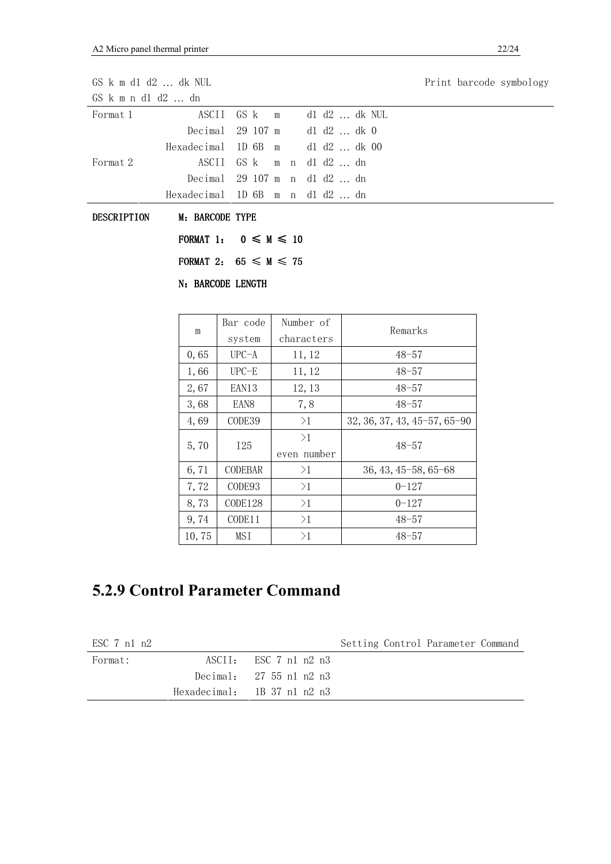| $GS$ k m d1 d2 $\ldots$ dk NUL |                                 |                        |   | Print barcode symbology |  |            |  |  |  |  |  |  |
|--------------------------------|---------------------------------|------------------------|---|-------------------------|--|------------|--|--|--|--|--|--|
| $GS$ k m n d1 d2  dn           |                                 |                        |   |                         |  |            |  |  |  |  |  |  |
| Format 1                       | ASCII                           | GS k                   | m | d1 d2  dk NUL           |  |            |  |  |  |  |  |  |
|                                | Decimal                         | 29 107 m               |   | $dl$ $d2$ $dk$ 0        |  |            |  |  |  |  |  |  |
|                                | Hexadecimal                     | $1D$ 6B                | m | d1 d2  dk 00            |  |            |  |  |  |  |  |  |
| Format 2                       | ASCII                           | GS k                   |   | m n d $1$ d $2$ dn      |  |            |  |  |  |  |  |  |
|                                | Decimal                         |                        |   | 29 107 m n d1 d2  dn    |  |            |  |  |  |  |  |  |
|                                | Hexadecimal 1D 6B m n d1 d2  dn |                        |   |                         |  |            |  |  |  |  |  |  |
| DESCRIPTION<br>M: BARCODE TYPE |                                 |                        |   |                         |  |            |  |  |  |  |  |  |
|                                | FORMAT 1: $0 \leq M \leq 10$    |                        |   |                         |  |            |  |  |  |  |  |  |
|                                | FORMAT 2: $65 \le M \le 75$     |                        |   |                         |  |            |  |  |  |  |  |  |
|                                | N: BARCODE LENGTH               |                        |   |                         |  |            |  |  |  |  |  |  |
|                                |                                 |                        |   |                         |  |            |  |  |  |  |  |  |
|                                | m                               | Bar code               |   | Number of               |  | Remarks    |  |  |  |  |  |  |
|                                |                                 | system                 |   | characters              |  |            |  |  |  |  |  |  |
|                                | 0,65                            | $UPC-A$                |   | 11, 12                  |  | $48 - 57$  |  |  |  |  |  |  |
|                                | $\sim$ 0.0                      | $\cdots$ $\sim$ $\sim$ |   | .                       |  | $\sim$ $-$ |  |  |  |  |  |  |

| 1,66  | $UPC-E$          | 11, 12            | $48 - 57$                          |
|-------|------------------|-------------------|------------------------------------|
| 2,67  | EAN13            | 12, 13            | $48 - 57$                          |
| 3,68  | EAN <sub>8</sub> | 7,8               | $48 - 57$                          |
| 4,69  | CODE39           | >1                | $32, 36, 37, 43, 45 - 57, 65 - 90$ |
| 5,70  | <b>I25</b>       | >1<br>even number | $48 - 57$                          |
| 6,71  | <b>CODEBAR</b>   | >1                | $36, 43, 45 - 58, 65 - 68$         |
| 7,72  | CODE93           | >1                | $0 - 127$                          |
| 8,73  | CODE128          | >1                | $0 - 127$                          |
| 9,74  | CODE11           | >1                | $48 - 57$                          |
| 10,75 | MSI              | >1                | $48 - 57$                          |

# **5.2.9 Control Parameter Command**

| ESC 7 n1 n2 |                                   | Setting Control Parameter Command |
|-------------|-----------------------------------|-----------------------------------|
| Format:     | $\text{ASCII:}$ ESC 7 n1 n2 n3    |                                   |
|             | Decimal: $27.55$ n1 n2 n3         |                                   |
|             | Hexadecimal: $1B\ 37\ n1\ n2\ n3$ |                                   |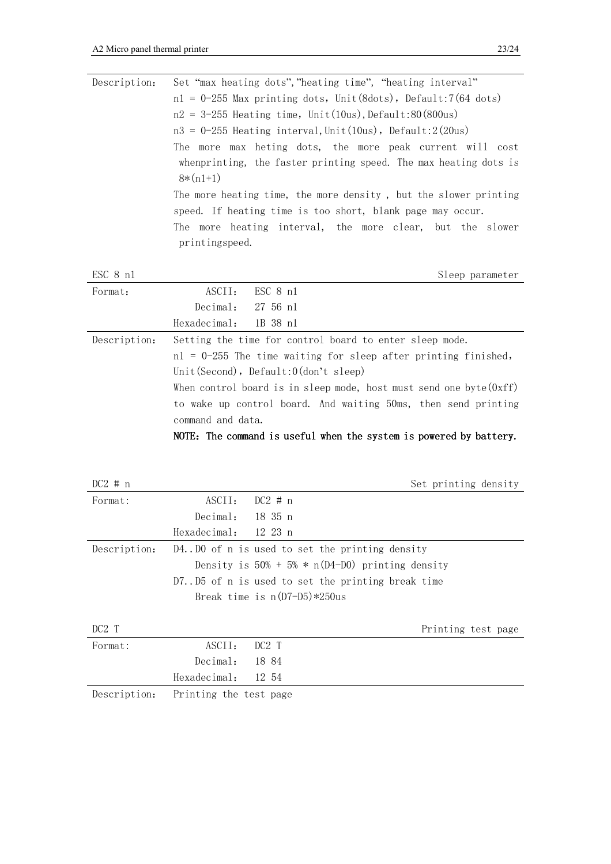| Description: | Set "max heating dots", "heating time", "heating interval"        |
|--------------|-------------------------------------------------------------------|
|              | $nl = 0-255$ Max printing dots, Unit(8dots), Default:7(64 dots)   |
|              | $n2 = 3-255$ Heating time, Unit(10us), Default:80(800us)          |
|              | $n3 = 0-255$ Heating interval, Unit(10us), Default:2(20us)        |
|              | The more max heting dots, the more peak current will cost         |
|              | when printing, the faster printing speed. The max heating dots is |
|              | $8*(n1+1)$                                                        |
|              | The more heating time, the more density, but the slower printing  |
|              | speed. If heating time is too short, blank page may occur.        |
|              | The more heating interval, the more clear, but the slower         |
|              | printingspeed.                                                    |
|              |                                                                   |
| ESC 8 n1     | Sleep parameter                                                   |
| Format:      | ESC 8 n1<br>ASCII:                                                |
|              | Decimal:<br>$27\,56\,n1$                                          |
|              | Hexadecimal:<br>1B 38 n1                                          |
| Description: | Setting the time for control board to enter sleep mode.           |
|              | $nl = 0-255$ The time waiting for sleep after printing finished,  |
|              | Unit (Second), $Default:0$ (don't sleep)                          |

When control board is in sleep mode, host must send one byte(0xff) to wake up control board. And waiting 50ms, then send printing command and data.

NOTE: The command is useful when the system is powered by battery.

| $DC2 \# n$   |                        | Set printing density                                |
|--------------|------------------------|-----------------------------------------------------|
| Format:      | ASCII:                 | $DC2 \neq n$                                        |
|              | Decimal:               | 18 35 n                                             |
|              | Hexadecimal:           | 12 23 n                                             |
| Description: |                        | D4. D0 of n is used to set the printing density     |
|              |                        | Density is $50\% + 5\% * n(D4-D0)$ printing density |
|              |                        | D7D5 of n is used to set the printing break time    |
|              |                        | Break time is $n(D7-D5)*250$ us                     |
| DC2T         |                        | Printing test page                                  |
| Format:      | ASCII:                 | DC2T                                                |
|              | Decimal:               | 1884                                                |
|              | Hexadecimal:           | 12 54                                               |
| Description: | Printing the test page |                                                     |